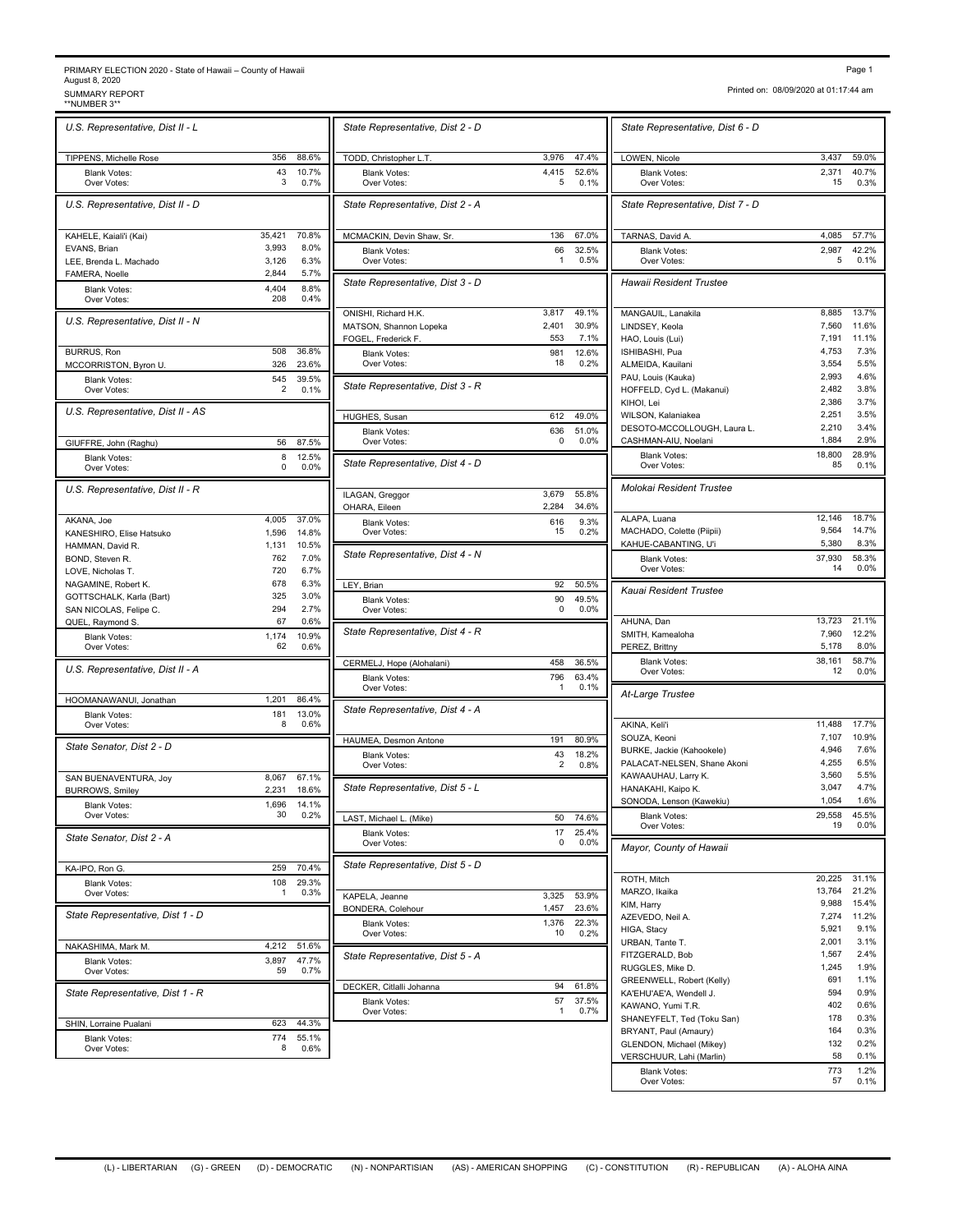## PRIMARY ELECTION 2020 - State of Hawaii – County of Hawaii<br>August 8, 2020<br>\*\*NUMBER 3\*\* SUMMARY REPORT<br>\*\*NUMBER 3\*\*

| Page 1                                |
|---------------------------------------|
| Printed on: 08/09/2020 at 01:17:44 am |

| U.S. Representative, Dist II - L              |                |                | State Representative, Dist 2                                          |
|-----------------------------------------------|----------------|----------------|-----------------------------------------------------------------------|
| TIPPENS, Michelle Rose                        | 356            | 88.6%          | TODD, Christopher L.T.                                                |
| <b>Blank Votes:</b>                           | 43             | 10.7%          | <b>Blank Votes:</b>                                                   |
| Over Votes:                                   | 3              | 0.7%           | Over Votes:                                                           |
| U.S. Representative, Dist II - D              |                |                | State Representative, Dist 2                                          |
| KAHELE, Kaiali'i (Kai)                        | 35,421         | 70.8%          | MCMACKIN, Devin Shaw, Sr.                                             |
| EVANS, Brian                                  | 3,993<br>3,126 | 8.0%<br>6.3%   | <b>Blank Votes:</b><br>Over Votes:                                    |
| LEE, Brenda L. Machado<br>FAMERA, Noelle      | 2,844          | 5.7%           |                                                                       |
| <b>Blank Votes:</b><br>Over Votes:            | 4,404<br>208   | 8.8%<br>0.4%   | State Representative, Dist 3                                          |
| U.S. Representative, Dist II - N              |                |                | ONISHI, Richard H.K.<br>MATSON, Shannon Lopeka<br>FOGEL, Frederick F. |
| <b>BURRUS, Ron</b>                            | 508            | 36.8%          | <b>Blank Votes:</b>                                                   |
| MCCORRISTON, Byron U.                         | 326            | 23.6%          | Over Votes:                                                           |
| <b>Blank Votes:</b><br>Over Votes:            | 545<br>2       | 39.5%<br>0.1%  | State Representative, Dist 3                                          |
| U.S. Representative, Dist II - AS             |                |                | HUGHES, Susan                                                         |
|                                               |                |                | <b>Blank Votes:</b>                                                   |
| GIUFFRE, John (Raghu)                         | 56             | 87.5%          | Over Votes:                                                           |
| <b>Blank Votes:</b><br>Over Votes:            | 8<br>0         | 12.5%<br>0.0%  | State Representative, Dist 4                                          |
| U.S. Representative, Dist II - R              |                |                | ILAGAN, Greggor                                                       |
|                                               |                |                | OHARA, Eileen                                                         |
| AKANA, Joe<br>KANESHIRO, Elise Hatsuko        | 4,005<br>1,596 | 37.0%<br>14.8% | <b>Blank Votes:</b><br>Over Votes:                                    |
| HAMMAN, David R.                              | 1,131          | 10.5%          |                                                                       |
| BOND, Steven R.                               | 762            | 7.0%           | State Representative, Dist 4                                          |
| LOVE, Nicholas T.                             | 720            | 6.7%           |                                                                       |
| NAGAMINE, Robert K.                           | 678            | 6.3%           | LEY, Brian                                                            |
| GOTTSCHALK, Karla (Bart)                      | 325            | 3.0%           | <b>Blank Votes:</b>                                                   |
| SAN NICOLAS, Felipe C.<br>QUEL, Raymond S.    | 294<br>67      | 2.7%<br>0.6%   | Over Votes:                                                           |
| <b>Blank Votes:</b><br>Over Votes:            | 1,174<br>62    | 10.9%<br>0.6%  | State Representative, Dist 4                                          |
|                                               |                |                | CERMELJ, Hope (Alohalani)                                             |
| U.S. Representative, Dist II - A              |                |                | <b>Blank Votes:</b>                                                   |
| HOOMANAWANUI, Jonathan                        | 1,201          | 86.4%          | Over Votes:                                                           |
| <b>Blank Votes:</b><br>Over Votes:            | 181<br>8       | 13.0%<br>0.6%  | State Representative, Dist 4                                          |
| State Senator, Dist 2 - D                     |                |                | HAUMEA, Desmon Antone                                                 |
|                                               |                |                | <b>Blank Votes:</b><br>Over Votes:                                    |
| SAN BUENAVENTURA, Joy                         | 8,067<br>2,231 | 67.1%<br>18.6% | State Representative, Dist &                                          |
| <b>BURROWS, Smiley</b><br><b>Blank Votes:</b> | 1,696          | 14.1%          |                                                                       |
| Over Votes:                                   | 30             | 0.2%           | LAST, Michael L. (Mike)                                               |
| State Senator, Dist 2 - A                     |                |                | <b>Blank Votes:</b><br>Over Votes:                                    |
| KA-IPO, Ron G.                                | 259            | 70.4%          | State Representative, Dist &                                          |
| <b>Blank Votes:</b>                           | 108            | 29.3%          |                                                                       |
| Over Votes:                                   | 1              | 0.3%           | KAPELA, Jeanne                                                        |
| State Representative, Dist 1 - D              |                |                | BONDERA, Colehour<br><b>Blank Votes:</b>                              |
| NAKASHIMA, Mark M.                            | 4,212          | 51.6%          | Over Votes:                                                           |
| <b>Blank Votes:</b>                           | 3,897          | 47.7%          | State Representative, Dist &                                          |
| Over Votes:                                   | 59             | 0.7%           |                                                                       |
| State Representative, Dist 1 - R              |                |                | DECKER, Citlalli Johanna<br><b>Blank Votes:</b>                       |
| SHIN, Lorraine Pualani                        | 623            | 44.3%          | Over Votes:                                                           |
| <b>Blank Votes:</b>                           | 774            | 55.1%          |                                                                       |
| Over Votes:                                   | 8              | 0.6%           |                                                                       |

|                         | State Representative, Dist 2 - D                |              |               | State Representative, Dist &                                          |
|-------------------------|-------------------------------------------------|--------------|---------------|-----------------------------------------------------------------------|
| 88.6%                   | TODD, Christopher L.T.                          | 3,976        | 47.4%         | LOWEN, Nicole                                                         |
| 10.7%<br>0.7%           | <b>Blank Votes:</b><br>Over Votes:              | 4.415<br>5   | 52.6%<br>0.1% | <b>Blank Votes:</b><br>Over Votes:                                    |
|                         | State Representative, Dist 2 - A                |              |               | State Representative, Dist                                            |
| 70.8%                   | MCMACKIN, Devin Shaw, Sr.                       | 136          | 67.0%         | TARNAS, David A.                                                      |
| 8.0%<br>6.3%            | Blank Votes:<br>Over Votes:                     | 66<br>1      | 32.5%<br>0.5% | <b>Blank Votes:</b><br>Over Votes:                                    |
| 5.7%<br>8.8%<br>0.4%    | State Representative, Dist 3 - D                |              |               | <b>Hawaii Resident Trustee</b>                                        |
|                         | ONISHI, Richard H.K.                            | 3,817        | 49.1%         | MANGAUIL, Lanakila<br>LINDSEY, Keola                                  |
|                         | MATSON, Shannon Lopeka<br>FOGEL, Frederick F.   | 2,401<br>553 | 30.9%<br>7.1% | HAO, Louis (Lui)                                                      |
| 36.8%                   | Blank Votes:                                    | 981          | 12.6%         | ISHIBASHI, Pua                                                        |
| 23.6%                   | Over Votes:                                     | 18           | 0.2%          | ALMEIDA, Kauilani                                                     |
| 39.5%<br>0.1%           | State Representative, Dist 3 - R                |              |               | PAU, Louis (Kauka)<br>HOFFELD, Cyd L. (Makanui)<br>KIHOI, Lei         |
|                         | HUGHES, Susan                                   | 612          | 49.0%         | WILSON, Kalaniakea                                                    |
| 87.5%                   | <b>Blank Votes:</b><br>Over Votes:              | 636<br>0     | 51.0%<br>0.0% | DESOTO-MCCOLLOUGH, Laur<br>CASHMAN-AIU, Noelani                       |
| 12.5%<br>0.0%           | State Representative, Dist 4 - D                |              |               | <b>Blank Votes:</b><br>Over Votes:                                    |
|                         | ILAGAN, Greggor                                 | 3,679        | 55.8%         | Molokai Resident Trustee                                              |
|                         | OHARA, Eileen                                   | 2,284        | 34.6%         |                                                                       |
| 37.0%<br>14.8%<br>10.5% | <b>Blank Votes:</b><br>Over Votes:              | 616<br>15    | 9.3%<br>0.2%  | ALAPA, Luana<br>MACHADO, Colette (Piipii)<br>KAHUE-CABANTING, U'i     |
| 7.0%<br>6.7%            | State Representative, Dist 4 - N                |              |               | <b>Blank Votes:</b><br>Over Votes:                                    |
| 6.3%                    | LEY, Brian                                      | 92           | 50.5%         | Kauai Resident Trustee                                                |
| 3.0%<br>2.7%<br>0.6%    | <b>Blank Votes:</b><br>Over Votes:              | 90<br>0      | 49.5%<br>0.0% | AHUNA, Dan                                                            |
| 10.9%<br>0.6%           | State Representative, Dist 4 - R                |              |               | SMITH, Kamealoha<br>PEREZ, Brittny                                    |
|                         | CERMELJ, Hope (Alohalani)                       | 458          | 36.5%         | <b>Blank Votes:</b><br>Over Votes:                                    |
| 86.4%                   | <b>Blank Votes:</b><br>Over Votes:              | 796<br>1     | 63.4%<br>0.1% | At-Large Trustee                                                      |
| 13.0%<br>0.6%           | State Representative, Dist 4 - A                |              |               | AKINA, Keli'i                                                         |
|                         | HAUMEA, Desmon Antone                           | 191          | 80.9%         | SOUZA, Keoni                                                          |
|                         | <b>Blank Votes:</b><br>Over Votes:              | 43<br>2      | 18.2%<br>0.8% | BURKE, Jackie (Kahookele)<br>PALACAT-NELSEN, Shane Ako                |
| 67.1%<br>18.6%          | State Representative, Dist 5 - L                |              |               | KAWAAUHAU, Larry K.<br>HANAKAHI, Kaipo K.<br>SONODA, Lenson (Kawekiu) |
| 14.1%<br>0.2%           | <u>LAST, Michael L. (Mike)</u>                  | 50           | 74.6%         | <b>Blank Votes:</b>                                                   |
|                         | <b>Blank Votes:</b>                             | 17           | 25.4%         | Over Votes:                                                           |
| 70.4%                   | Over Votes:<br>State Representative, Dist 5 - D | 0            | 0.0%          | Mayor, County of Hawaii                                               |
| 29.3%                   |                                                 |              |               | ROTH, Mitch                                                           |
| 0.3%                    | KAPELA, Jeanne                                  | 3,325        | 53.9%         | MARZO, Ikaika                                                         |
|                         | BONDERA, Colehour                               | 1,457        | 23.6%         | KIM, Harry<br>AZEVEDO, Neil A.                                        |
|                         | <b>Blank Votes:</b><br>Over Votes:              | 1,376<br>10  | 22.3%<br>0.2% | HIGA, Stacy<br>URBAN, Tante T.                                        |
| 51.6%<br>47.7%<br>0.7%  | State Representative, Dist 5 - A                |              |               | FITZGERALD, Bob<br>RUGGLES, Mike D.                                   |
|                         | DECKER, Citlalli Johanna                        | 94           | 61.8%         | GREENWELL, Robert (Kelly)                                             |
|                         | <b>Blank Votes:</b><br>Over Votes:              | 57<br>1      | 37.5%<br>0.7% | KA'EHU'AE'A, Wendell J.<br>KAWANO, Yumi T.R.                          |
| 44.3%<br>55.1%          |                                                 |              |               | SHANEYFELT, Ted (Toku San)<br>BRYANT, Paul (Amaury)                   |

| State Representative, Dist 6 - D                     |                 |                  |
|------------------------------------------------------|-----------------|------------------|
| LOWEN, Nicole                                        | 3,437           | 59.0%            |
| <b>Blank Votes:</b><br>Over Votes:                   | 2,371<br>15     | 40.7%<br>0.3%    |
| State Representative, Dist 7 - D                     |                 |                  |
| TARNAS, David A.                                     | 4,085           | 57.7%            |
| <b>Blank Votes:</b><br>Over Votes:                   | 2,987<br>5      | 42.2%<br>0.1%    |
| Hawaii Resident Trustee                              |                 |                  |
| MANGAUIL, Lanakila                                   | 8,885           | 13.7%            |
| LINDSEY, Keola<br>HAO, Louis (Lui)                   | 7,560<br>7,191  | 11.6%<br>11.1%   |
| ISHIBASHI, Pua                                       | 4,753           | 7.3%             |
| ALMEIDA, Kauilani                                    | 3,554           | 5.5%             |
| PAU, Louis (Kauka)                                   | 2,993           | 4.6%             |
| HOFFELD, Cyd L. (Makanui)                            | 2,482           | 3.8%<br>3.7%     |
| KIHOI, Lei<br>WILSON, Kalaniakea                     | 2,386<br>2,251  | 3.5%             |
| DESOTO-MCCOLLOUGH, Laura L.                          | 2,210           | 3.4%             |
| CASHMAN-AIU, Noelani                                 | 1,884           | 2.9%             |
| <b>Blank Votes:</b><br>Over Votes:                   | 18,800<br>85    | 28.9%<br>0.1%    |
| Molokai Resident Trustee                             |                 |                  |
|                                                      |                 |                  |
| ALAPA, Luana                                         | 12,146<br>9,564 | 18.7%<br>14.7%   |
| MACHADO, Colette (Piipii)<br>KAHUE-CABANTING, U'i    | 5,380           | 8.3%             |
| <b>Blank Votes:</b><br>Over Votes:                   | 37,930<br>14    | 58.3%<br>0.0%    |
| Kauai Resident Trustee                               |                 |                  |
|                                                      |                 |                  |
| AHUNA, Dan                                           | 13,723          | 21.1%            |
| SMITH, Kamealoha                                     | 7,960           | 12.2%            |
| PEREZ, Brittny                                       | 5,178           | 8.0%             |
| <b>Blank Votes:</b><br>Over Votes:                   | 38,161<br>12    | 58.7%<br>0.0%    |
| At-Large Trustee                                     |                 |                  |
|                                                      |                 |                  |
| AKINA, Keli'i<br>SOUZA, Keoni                        | 11,488<br>7,107 | 17.7%<br>10.9%   |
| BURKE, Jackie (Kahookele)                            | 4,946           | 7.6%             |
| PALACAT-NELSEN, Shane Akoni                          | 4,255           | 6.5%             |
| KAWAAUHAU, Larry K.                                  | 3,560           | 5.5%             |
| HANAKAHI, Kaipo K.                                   | 3,047           | 4.7%             |
| SONODA, Lenson (Kawekiu)                             | 1,054           | 1.6%             |
| <b>Blank Votes:</b><br>Over Votes:                   | 29,558<br>19    | 45.5%<br>$0.0\%$ |
| Mayor, County of Hawaii                              |                 |                  |
| ROTH, Mitch                                          | 20,225          | 31.1%            |
| MARZO, Ikaika                                        | 13,764          | 21.2%            |
| KIM, Harry                                           | 9,988           | 15.4%            |
| AZEVEDO, Neil A.                                     | 7,274           | 11.2%            |
| HIGA, Stacy                                          | 5,921           | 9.1%<br>3.1%     |
| URBAN, Tante T.<br>FITZGERALD, Bob                   | 2,001<br>1,567  | 2.4%             |
| RUGGLES, Mike D.                                     | 1,245           | 1.9%             |
| GREENWELL, Robert (Kelly)                            | 691             | 1.1%             |
| KA'EHU'AE'A, Wendell J.                              | 594             | 0.9%             |
| KAWANO, Yumi T.R.                                    | 402             | 0.6%             |
| SHANEYFELT, Ted (Toku San)                           | 178             | 0.3%             |
| BRYANT, Paul (Amaury)                                | 164             | 0.3%             |
| GLENDON, Michael (Mikey)<br>VERSCHUUR, Lahi (Marlin) | 132<br>58       | $0.2\%$<br>0.1%  |
| <b>Blank Votes:</b>                                  | 773             | 1.2%             |
| Over Votes:                                          | 57              | 0.1%             |
|                                                      |                 |                  |